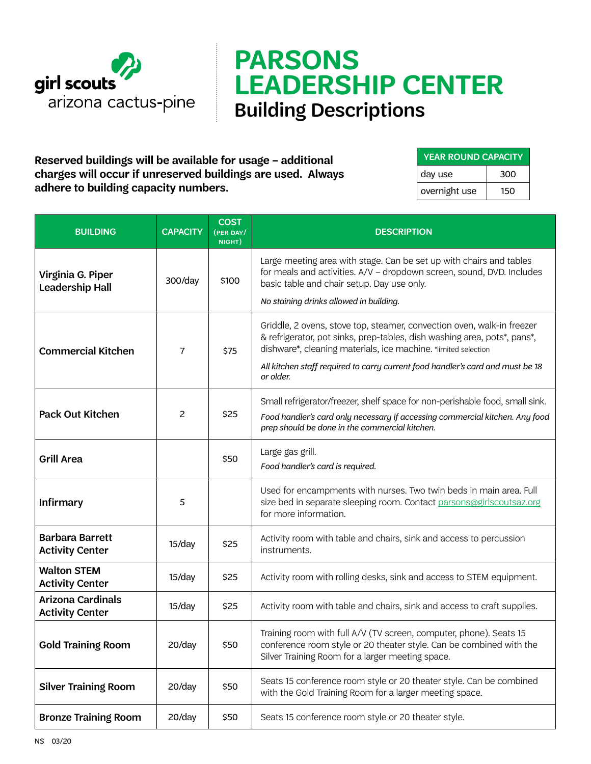

## **PARSONS LEADERSHIP CENTER** Building Descriptions

**Reserved buildings will be available for usage – additional charges will occur if unreserved buildings are used. Always adhere to building capacity numbers.**

| <b>YEAR ROUND CAPACITY</b> |     |  |  |  |
|----------------------------|-----|--|--|--|
| day use                    | 300 |  |  |  |
| overnight use              | 150 |  |  |  |

| <b>BUILDING</b>                                    | <b>CAPACITY</b> | <b>COST</b><br>(PER DAY/<br>NIGHT) | <b>DESCRIPTION</b>                                                                                                                                                                                                   |
|----------------------------------------------------|-----------------|------------------------------------|----------------------------------------------------------------------------------------------------------------------------------------------------------------------------------------------------------------------|
| Virginia G. Piper<br>Leadership Hall               | 300/day         | \$100                              | Large meeting area with stage. Can be set up with chairs and tables<br>for meals and activities. A/V - dropdown screen, sound, DVD. Includes<br>basic table and chair setup. Day use only.                           |
|                                                    |                 |                                    | No staining drinks allowed in building.                                                                                                                                                                              |
| <b>Commercial Kitchen</b>                          | $\overline{7}$  | \$75                               | Griddle, 2 ovens, stove top, steamer, convection oven, walk-in freezer<br>& refrigerator, pot sinks, prep-tables, dish washing area, pots*, pans*,<br>dishware*, cleaning materials, ice machine. *limited selection |
|                                                    |                 |                                    | All kitchen staff required to carry current food handler's card and must be 18<br>or older.                                                                                                                          |
| Pack Out Kitchen                                   | 2               | \$25                               | Small refrigerator/freezer, shelf space for non-perishable food, small sink.                                                                                                                                         |
|                                                    |                 |                                    | Food handler's card only necessary if accessing commercial kitchen. Any food<br>prep should be done in the commercial kitchen.                                                                                       |
| <b>Grill Area</b>                                  |                 | \$50                               | Large gas grill.<br>Food handler's card is required.                                                                                                                                                                 |
| <b>Infirmary</b>                                   | 5               |                                    | Used for encampments with nurses. Two twin beds in main area. Full<br>size bed in separate sleeping room. Contact parsons@girlscoutsaz.org<br>for more information.                                                  |
| <b>Barbara Barrett</b><br><b>Activity Center</b>   | 15/day          | \$25                               | Activity room with table and chairs, sink and access to percussion<br>instruments.                                                                                                                                   |
| <b>Walton STEM</b><br><b>Activity Center</b>       | 15/day          | \$25                               | Activity room with rolling desks, sink and access to STEM equipment.                                                                                                                                                 |
| <b>Arizona Cardinals</b><br><b>Activity Center</b> | 15/day          | \$25                               | Activity room with table and chairs, sink and access to craft supplies.                                                                                                                                              |
| <b>Gold Training Room</b>                          | 20/day          | \$50                               | Training room with full A/V (TV screen, computer, phone). Seats 15<br>conference room style or 20 theater style. Can be combined with the<br>Silver Training Room for a larger meeting space.                        |
| <b>Silver Training Room</b>                        | 20/day          | \$50                               | Seats 15 conference room style or 20 theater style. Can be combined<br>with the Gold Training Room for a larger meeting space.                                                                                       |
| <b>Bronze Training Room</b>                        | 20/day          | \$50                               | Seats 15 conference room style or 20 theater style.                                                                                                                                                                  |